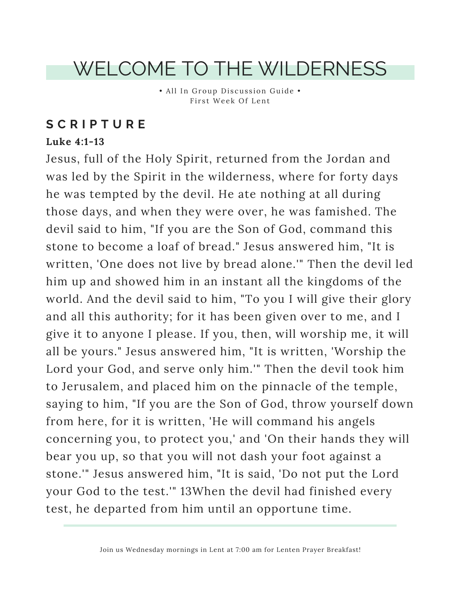## WELCOME TO THE WILDERNESS

• All In Group Discussion Guide • First Week Of Lent

### **S C R I P T U R E**

#### **Luke 4:1-13**

Jesus, full of the Holy Spirit, returned from the Jordan and was led by the Spirit in the wilderness, where for forty days he was tempted by the devil. He ate nothing at all during those days, and when they were over, he was famished. The devil said to him, "If you are the Son of God, command this stone to become a loaf of bread." Jesus answered him, "It is written, 'One does not live by bread alone.'" Then the devil led him up and showed him in an instant all the kingdoms of the world. And the devil said to him, "To you I will give their glory and all this authority; for it has been given over to me, and I give it to anyone I please. If you, then, will worship me, it will all be yours." Jesus answered him, "It is written, 'Worship the Lord your God, and serve only him.'" Then the devil took him to Jerusalem, and placed him on the pinnacle of the temple, saying to him, "If you are the Son of God, throw yourself down from here, for it is written, 'He will command his angels concerning you, to protect you,' and 'On their hands they will bear you up, so that you will not dash your foot against a stone.'" Jesus answered him, "It is said, 'Do not put the Lord your God to the test.'" 13When the devil had finished every test, he departed from him until an opportune time.